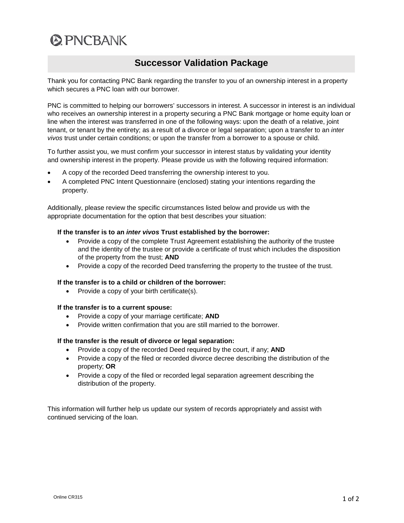# **@PNCBANK**

# **Successor Validation Package**

Thank you for contacting PNC Bank regarding the transfer to you of an ownership interest in a property which secures a PNC loan with our borrower.

PNC is committed to helping our borrowers' successors in interest. A successor in interest is an individual who receives an ownership interest in a property securing a PNC Bank mortgage or home equity loan or line when the interest was transferred in one of the following ways: upon the death of a relative, joint tenant, or tenant by the entirety; as a result of a divorce or legal separation; upon a transfer to an *inter vivos* trust under certain conditions; or upon the transfer from a borrower to a spouse or child.

To further assist you, we must confirm your successor in interest status by validating your identity and ownership interest in the property. Please provide us with the following required information:

- A copy of the recorded Deed transferring the ownership interest to you.
- A completed PNC Intent Questionnaire (enclosed) stating your intentions regarding the property.

Additionally, please review the specific circumstances listed below and provide us with the appropriate documentation for the option that best describes your situation:

# **If the transfer is to an** *inter vivos* **Trust established by the borrower:**

- Provide a copy of the complete Trust Agreement establishing the authority of the trustee and the identity of the trustee or provide a certificate of trust which includes the disposition of the property from the trust; **AND**
- Provide a copy of the recorded Deed transferring the property to the trustee of the trust.

## **If the transfer is to a child or children of the borrower:**

• Provide a copy of your birth certificate(s).

## **If the transfer is to a current spouse:**

- Provide a copy of your marriage certificate; **AND**
- Provide written confirmation that you are still married to the borrower.

## **If the transfer is the result of divorce or legal separation:**

- Provide a copy of the recorded Deed required by the court, if any; **AND**
- Provide a copy of the filed or recorded divorce decree describing the distribution of the property; **OR**
- Provide a copy of the filed or recorded legal separation agreement describing the distribution of the property.

This information will further help us update our system of records appropriately and assist with continued servicing of the loan.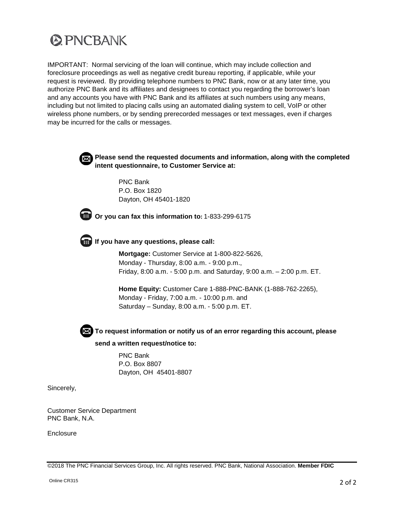

IMPORTANT: Normal servicing of the loan will continue, which may include collection and foreclosure proceedings as well as negative credit bureau reporting, if applicable, while your request is reviewed. By providing telephone numbers to PNC Bank, now or at any later time, you authorize PNC Bank and its affiliates and designees to contact you regarding the borrower's loan and any accounts you have with PNC Bank and its affiliates at such numbers using any means, including but not limited to placing calls using an automated dialing system to cell, VoIP or other wireless phone numbers, or by sending prerecorded messages or text messages, even if charges may be incurred for the calls or messages.



**Please send the requested documents and information, along with the completed intent questionnaire, to Customer Service at:** 

PNC Bank P.O. Box 1820 Dayton, OH 45401-1820



**Or you can fax this information to:** 1-833-299-6175

**If you have any questions, please call:**

**Mortgage:** Customer Service at 1-800-822-5626, Monday - Thursday, 8:00 a.m. - 9:00 p.m., Friday, 8:00 a.m. - 5:00 p.m. and Saturday, 9:00 a.m. – 2:00 p.m. ET.

**Home Equity:** Customer Care 1-888-PNC-BANK (1-888-762-2265), Monday - Friday, 7:00 a.m. - 10:00 p.m. and Saturday – Sunday, 8:00 a.m. - 5:00 p.m. ET.



**To request information or notify us of an error regarding this account, please send a written request/notice to:**

> PNC Bank P.O. Box 8807 Dayton, OH 45401-8807

Sincerely,

Customer Service Department PNC Bank, N.A.

**Enclosure** 

©2018 The PNC Financial Services Group, Inc. All rights reserved. PNC Bank, National Association. **Member FDIC**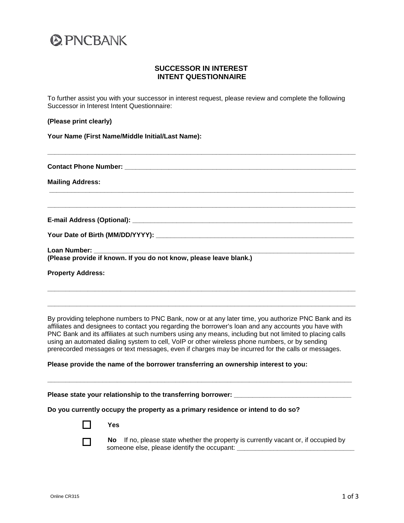

# **SUCCESSOR IN INTEREST INTENT QUESTIONNAIRE**

To further assist you with your successor in interest request, please review and complete the following Successor in Interest Intent Questionnaire:

**\_\_\_\_\_\_\_\_\_\_\_\_\_\_\_\_\_\_\_\_\_\_\_\_\_\_\_\_\_\_\_\_\_\_\_\_\_\_\_\_\_\_\_\_\_\_\_\_\_\_\_\_\_\_\_\_\_\_\_\_\_\_\_\_\_\_\_\_\_\_\_\_\_\_\_\_\_\_\_\_\_\_\_\_**

**\_\_\_\_\_\_\_\_\_\_\_\_\_\_\_\_\_\_\_\_\_\_\_\_\_\_\_\_\_\_\_\_\_\_\_\_\_\_\_\_\_\_\_\_\_\_\_\_\_\_\_\_\_\_\_\_\_\_\_\_\_\_\_\_\_\_\_\_\_\_\_\_\_\_\_\_\_\_\_\_\_\_\_**

**\_\_\_\_\_\_\_\_\_\_\_\_\_\_\_\_\_\_\_\_\_\_\_\_\_\_\_\_\_\_\_\_\_\_\_\_\_\_\_\_\_\_\_\_\_\_\_\_\_\_\_\_\_\_\_\_\_\_\_\_\_\_\_\_\_\_\_\_\_\_\_\_\_\_\_\_\_\_\_\_\_\_\_\_**

#### **(Please print clearly)**

**Your Name (First Name/Middle Initial/Last Name):**

**Contact Phone Number: Contact Phone Number:** 

**Mailing Address:**

**E-mail Address (Optional): \_\_\_\_\_\_\_\_\_\_\_\_\_\_\_\_\_\_\_\_\_\_\_\_\_\_\_\_\_\_\_\_\_\_\_\_\_\_\_\_\_\_\_\_\_\_\_\_\_\_\_\_\_\_\_\_\_\_\_\_**

**Your Date of Birth (MM/DD/YYYY): \_\_\_\_\_\_\_\_\_\_\_\_\_\_\_\_\_\_\_\_\_\_\_\_\_\_\_\_\_\_\_\_\_\_\_\_\_\_\_\_\_\_\_\_\_\_\_\_\_\_\_\_\_\_**

Loan Number: **(Please provide if known. If you do not know, please leave blank.)**

**Property Address:** 

By providing telephone numbers to PNC Bank, now or at any later time, you authorize PNC Bank and its affiliates and designees to contact you regarding the borrower's loan and any accounts you have with PNC Bank and its affiliates at such numbers using any means, including but not limited to placing calls using an automated dialing system to cell, VoIP or other wireless phone numbers, or by sending prerecorded messages or text messages, even if charges may be incurred for the calls or messages.

**\_\_\_\_\_\_\_\_\_\_\_\_\_\_\_\_\_\_\_\_\_\_\_\_\_\_\_\_\_\_\_\_\_\_\_\_\_\_\_\_\_\_\_\_\_\_\_\_\_\_\_\_\_\_\_\_\_\_\_\_\_\_\_\_\_\_\_\_\_\_\_\_\_\_\_\_\_\_\_\_\_\_\_**

**\_\_\_\_\_\_\_\_\_\_\_\_\_\_\_\_\_\_\_\_\_\_\_\_\_\_\_\_\_\_\_\_\_\_\_\_\_\_\_\_\_\_\_\_\_\_\_\_\_\_\_\_\_\_\_\_\_\_\_\_\_\_\_\_\_\_\_\_\_\_\_\_\_\_\_\_\_\_\_\_\_\_\_\_**

**\_\_\_\_\_\_\_\_\_\_\_\_\_\_\_\_\_\_\_\_\_\_\_\_\_\_\_\_\_\_\_\_\_\_\_\_\_\_\_\_\_\_\_\_\_\_\_\_\_\_\_\_\_\_\_\_\_\_\_\_\_\_\_\_\_\_\_\_\_\_\_\_\_\_\_\_\_\_\_\_\_\_\_\_**

#### **Please provide the name of the borrower transferring an ownership interest to you:**

**Please state your relationship to the transferring borrower:** 

#### **Do you currently occupy the property as a primary residence or intend to do so?**



**No** If no, please state whether the property is currently vacant or, if occupied by someone else, please identify the occupant: **\_\_\_\_\_\_\_\_\_\_\_\_\_\_\_\_\_\_\_\_\_\_\_\_\_\_\_\_\_\_\_\_**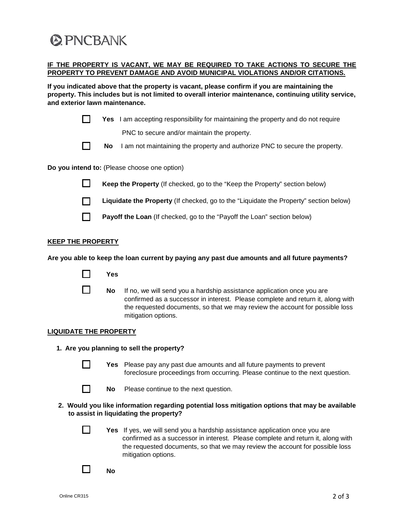# **@PNCBANK**

# **IF THE PROPERTY IS VACANT, WE MAY BE REQUIRED TO TAKE ACTIONS TO SECURE THE PROPERTY TO PREVENT DAMAGE AND AVOID MUNICIPAL VIOLATIONS AND/OR CITATIONS.**

**If you indicated above that the property is vacant, please confirm if you are maintaining the property. This includes but is not limited to overall interior maintenance, continuing utility service, and exterior lawn maintenance.**

|                                                                                                                                           |            | <b>Yes</b> I am accepting responsibility for maintaining the property and do not require                                                                                                                                                                              |
|-------------------------------------------------------------------------------------------------------------------------------------------|------------|-----------------------------------------------------------------------------------------------------------------------------------------------------------------------------------------------------------------------------------------------------------------------|
|                                                                                                                                           |            | PNC to secure and/or maintain the property.                                                                                                                                                                                                                           |
|                                                                                                                                           | <b>No</b>  | I am not maintaining the property and authorize PNC to secure the property.                                                                                                                                                                                           |
| Do you intend to: (Please choose one option)                                                                                              |            |                                                                                                                                                                                                                                                                       |
| $\mathsf{L}$                                                                                                                              |            | Keep the Property (If checked, go to the "Keep the Property" section below)                                                                                                                                                                                           |
|                                                                                                                                           |            | Liquidate the Property (If checked, go to the "Liquidate the Property" section below)                                                                                                                                                                                 |
| $\blacksquare$                                                                                                                            |            | Payoff the Loan (If checked, go to the "Payoff the Loan" section below)                                                                                                                                                                                               |
| <b>KEEP THE PROPERTY</b>                                                                                                                  |            |                                                                                                                                                                                                                                                                       |
| Are you able to keep the loan current by paying any past due amounts and all future payments?                                             |            |                                                                                                                                                                                                                                                                       |
|                                                                                                                                           | <b>Yes</b> |                                                                                                                                                                                                                                                                       |
|                                                                                                                                           | <b>No</b>  | If no, we will send you a hardship assistance application once you are<br>confirmed as a successor in interest. Please complete and return it, along with<br>the requested documents, so that we may review the account for possible loss<br>mitigation options.      |
| <b>LIQUIDATE THE PROPERTY</b>                                                                                                             |            |                                                                                                                                                                                                                                                                       |
| 1. Are you planning to sell the property?                                                                                                 |            |                                                                                                                                                                                                                                                                       |
| $\Box$                                                                                                                                    | Yes        | Please pay any past due amounts and all future payments to prevent<br>foreclosure proceedings from occurring. Please continue to the next question.                                                                                                                   |
|                                                                                                                                           | No         | Please continue to the next question.                                                                                                                                                                                                                                 |
| 2. Would you like information regarding potential loss mitigation options that may be available<br>to assist in liquidating the property? |            |                                                                                                                                                                                                                                                                       |
|                                                                                                                                           |            | Yes If yes, we will send you a hardship assistance application once you are<br>confirmed as a successor in interest. Please complete and return it, along with<br>the requested documents, so that we may review the account for possible loss<br>mitigation options. |
|                                                                                                                                           | No         |                                                                                                                                                                                                                                                                       |